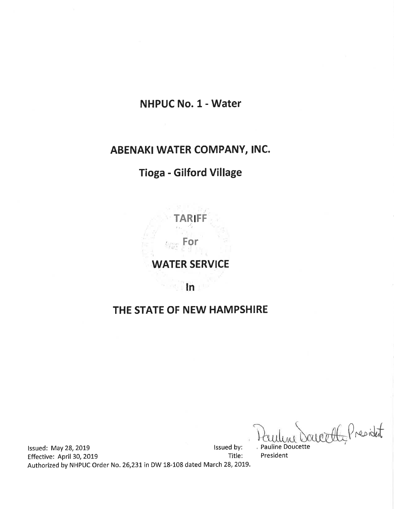# NHPUC No. 1 - Water

# ABENAKI WATER COMPANY, INC.

# Tioga - Gilford Village

TARIFF

# WATER SERVICE

For

ln

# THE STATE OF NEW HAMPSHIRE

weether President

lssued: May 28, 2019<br>Effective: April 30, 2019 **later and the Control of Contract Contract Contract Contract Contract Contract Contra** Effective: April 30, 2019 Authorized by NHPUC Order No. 26,231 in DW 18-108 dated March 28, 2019.

, Pauline Doucette President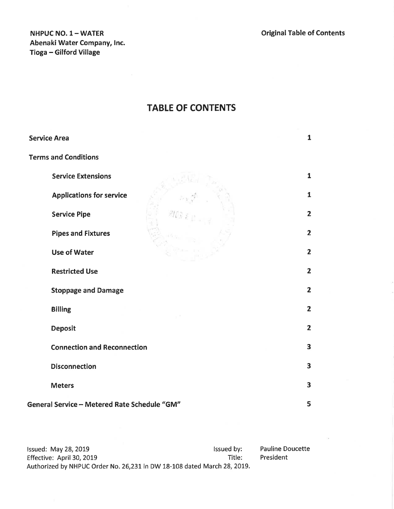NHPUC NO. 1- WATER Abenaki Water Company, lnc. Tioga - Gilford Village

# TABLE OF CONTENTS

| <b>Service Area</b>                          | $\mathbf{1}$            |
|----------------------------------------------|-------------------------|
| <b>Terms and Conditions</b>                  |                         |
| <b>Service Extensions</b>                    | $\mathbf{1}$            |
| <b>Applications for service</b>              | $\mathbf{1}$            |
| <b>Service Pipe</b>                          | $\overline{2}$          |
| <b>Pipes and Fixtures</b>                    | $\overline{2}$          |
| <b>Use of Water</b>                          | $\overline{2}$          |
| <b>Restricted Use</b>                        | $\overline{\mathbf{2}}$ |
| <b>Stoppage and Damage</b>                   | $\overline{2}$          |
| <b>Billing</b>                               | $\overline{2}$          |
| <b>Deposit</b>                               | $\overline{2}$          |
| <b>Connection and Reconnection</b>           | $\overline{\mathbf{3}}$ |
| <b>Disconnection</b>                         | 3                       |
| <b>Meters</b>                                | $\overline{\mathbf{3}}$ |
| General Service - Metered Rate Schedule "GM" | 5                       |

Pauline Doucette President lssued: May 28, 2019<br>Effective: April 30, 2019 **later and Solution Control** issued by:<br>Title: Effective: April 30, 2019 Authorized by NHPUC Order No. 26,231 in DW 18-108 dated March 28, 2019.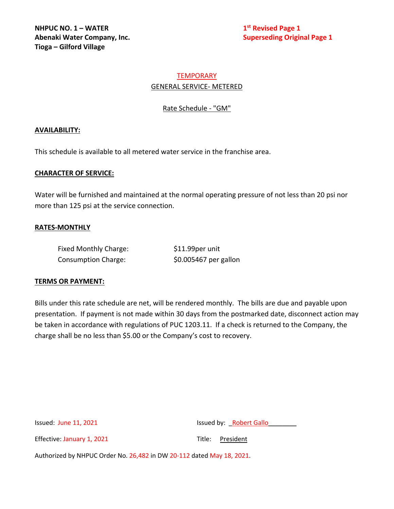# **TEMPORARY** GENERAL SERVICE- METERED

Rate Schedule - "GM"

## **AVAILABILITY:**

This schedule is available to all metered water service in the franchise area.

### **CHARACTER OF SERVICE:**

Water will be furnished and maintained at the normal operating pressure of not less than 20 psi nor more than 125 psi at the service connection.

### **RATES-MONTHLY**

| Fixed Monthly Charge:      | \$11.99per unit       |
|----------------------------|-----------------------|
| <b>Consumption Charge:</b> | \$0.005467 per gallon |

### **TERMS OR PAYMENT:**

Bills under this rate schedule are net, will be rendered monthly. The bills are due and payable upon presentation. If payment is not made within 30 days from the postmarked date, disconnect action may be taken in accordance with regulations of PUC 1203.11. If a check is returned to the Company, the charge shall be no less than \$5.00 or the Company's cost to recovery.

Issued: June 11, 2021 **Issued by:** Network Bassued by: **Robert Gallo** 

Effective: January 1, 2021 Title: President

Authorized by NHPUC Order No. 26,482 in DW 20-112 dated May 18, 2021.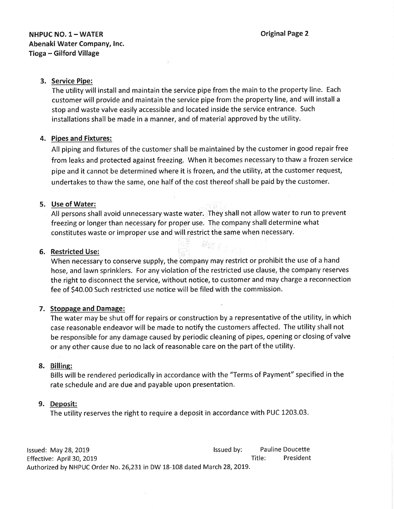### 3. Service Pipe:

The utility will install and maintain the service pipe from the main to the property line. Each customer will provide and maintain the service pipe from the property line, and will install <sup>a</sup> stop and waste valve easily accessible and located inside the service entrance. Such installations shall be made in a manner, and of material approved by the utility.

#### 4, Pipes and Fixtures:

All piping and fixtures of the customer shall be maintained by the customer in good repair free from leaks and protected against freezing. When it becomes necessary to thaw a frozen service pipe and it cannot be determined where it is frozen, and the utility, at the customer request, undertakes to thaw the same, one half of the cost thereof shall be paid by the customer.

#### 5. Use of Water:

All persons shall avoid unnecessary waste water. They shall not allow water to run to prevent freezing or longer than necessary for proper use. The company shall determine what constitutes waste or improper use and will restrict the same when necessary.

#### 6. Restricted Use:

When necessary to conserve supply, the company may restrict or prohibit the use of a hand hose, and lawn sprinklers. For any violation of the restricted use clause, the company reserves the right to disconnect the service, without notice, to customer and may charge a reconnection fee of \$40.00 Such restricted use notice will be filed with the commission.

altın y

#### 7. Stoppage and Damage:

The water may be shut off for repairs or construction by a representative of the utility, in which case reasonable endeavor will be made to notify the customers affected. The utility shall not be responsible for any damage caused by periodic cleaning of pipes, opening or closing of valve or any other cause due to no lack of reasonable care on the part of the utility.

#### 8. Billing:

Bills will be rendered periodically in accordance with the "Terms of Payment" specified in the rate schedule and are due and payable upon presentation.

#### 9. Deposit:

The utility reserves the right to require a deposit in accordance with PUC 1203.03

lssued: May28,20t9 lssued by: Pauline Doucette Effective: April 30, 2019 **The State State State State State State State State State State State State State State State State State State State State State State State State State State State State State State State State** Authorized by NHPUC Order No. 26,231 in DW 18-108 dated March 28, 2019.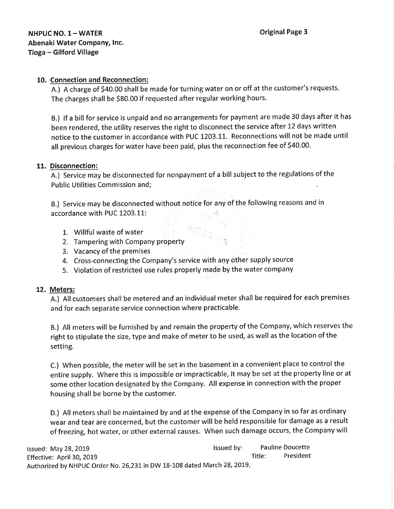## 10. Connection and Reconnection:

A.) A charge of \$40.00 shall be made for turning water on or off at the customer's requests. The charges shall be 580.00 if requested after regular working hours.

B.) lf a bill for service is unpaid and no arrangements for payment are made 30 days after it has been rendered, the utility reserves the right to disconnect the service after 12 days written notice to the customer in accordance with PUC 1203.11. Reconnections will not be made until all previous charges for wåter have been paid, plus the reconnection fee of S4O.OO.

#### 11. Disconnection:

A.) Service may be disconnected for nonpayment of a bill subject to the regulations of the Public Utilities Commission and;

B.) Service may be disconnected without notice for any of the following reasons and in accordance with PUC 1203.11:

- 1. Willful waste of water
- 2. Tampering with Company property
- 3. Vacancy of the premises
- 4. Cross-connecting the Company's service with any other supply source
- 5. Violation of restricted use rules properly made by the water company

#### 12. Meters:

A.) All customers shall be metered and an individual meter shall be required for each premises and for each separate service connection where practicable.

B.) All meters will be furnished by and remain the property of the Company, which reserves the right to stipulate the size, type and make of meter to be used, as well as the location of the setting.

C.) When possible, the meter will be set in the basement in a convenient place to control the entire supply. Where this is impossible or impracticable, it may be set at the property line or at some other location designated by the Company. All expense in connection with the proper housing shall be borne by the customer.

D.) All meters shall be maintained by and at the expense of the Company in so far as ordinary wear and tear are concerned, but the customer will be held responsible for damage as a result of freezing, hot water, or other external causes. When such damage occurs, the Company will

| Issued: May 28, 2019                                                    | Issued by: |        | <b>Pauline Doucette</b> |
|-------------------------------------------------------------------------|------------|--------|-------------------------|
| Effective: April 30, 2019                                               |            | Title: | President               |
| Authorized by NHPUC Order No. 26,231 in DW 18-108 dated March 28, 2019. |            |        |                         |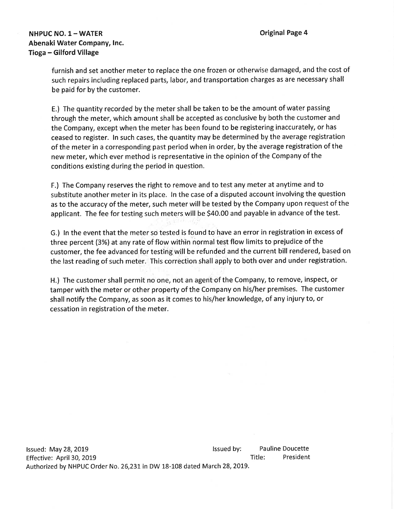## NHPUC NO.  $1 - WATER$ Abenaki Water Company, lnc. Tioga - Gilford Village

furnish and set another meter to replace the one frozen or otherwise damaged, and the cost of such repairs including replaced parts, labor, and transportation charges as are necessary shall be paid for by the customer.

E.) The quantity recorded by the meter shall be taken to be the amount of water passing through the meter, which amount shall be accepted as conclusive by both the customer and the Company, except when the meter has been found to be registering inaccurately, or has ceased to register. ln such cases, the quantity may be determined by the average registration of the meter in a corresponding past period when in order, by the average registration of the new meter, which ever method is representative in the opinion of the Company of the conditions existing during the period in question.

F.) The Company reserves the right to remove and to test any meter at anytime and to substitute another meter in its place. ln the case of a disputed account involving the question as to the accuracy of the meter, such meter will be tested by the Company upon request of the applicant. The fee for testing such meters will be \$40.00 and payable in advance of the test.

G.) ln the event that the meter so tested is found to have an error in registration in excess of three percent (3%) at any rate of flow within normal test flow limits to prejudice of the customer, the fee advanced for testing will be refunded and the current bill rendered, based on the last reading of such meter. This correction shall apply to both over and under registration.

H.) The customer shall permit no one, not an agent'of the Company, to remove, inspect, or tamper with the meter or other property of the Company on his/her premises. The customer shall notify the Company, as soon as it comes to his/her knowledge, of any injury to, or cessation in registration of the meter.

lssued: May 28, 2019 lssued by: Effective: April 30, 2019 Authorized by NHPUC Order No. 26,231 in DW 18-108 dated March 28, 2019. Pauline Doucette Title: President